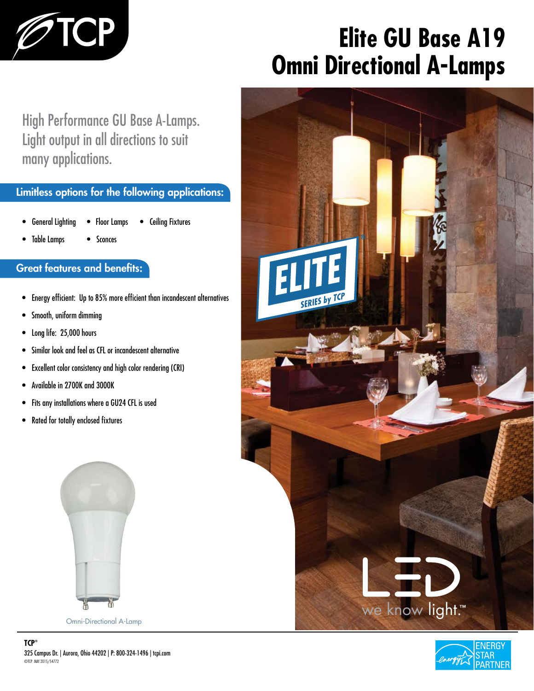

# **Elite GU Base A19 Omni Directional A-Lamps**

High Performance GU Base A-Lamps. Light output in all directions to suit many applications.

### Limitless options for the following applications:

- General Lighting • Floor Lamps • Ceiling Fixtures
- Table Lamps • Sconces

### Great features and benefits:

- Energy efficient: Up to 85% more efficient than incandescent alternatives
- Smooth, uniform dimming
- Long life: 25,000 hours
- Similar look and feel as CFL or incandescent alternative
- Excellent color consistency and high color rendering (CRI)
- Available in 2700K and 3000K
- Fits any installations where a GU24 CFL is used
- Rated for totally enclosed fixtures



Omni-Directional A-Lamp



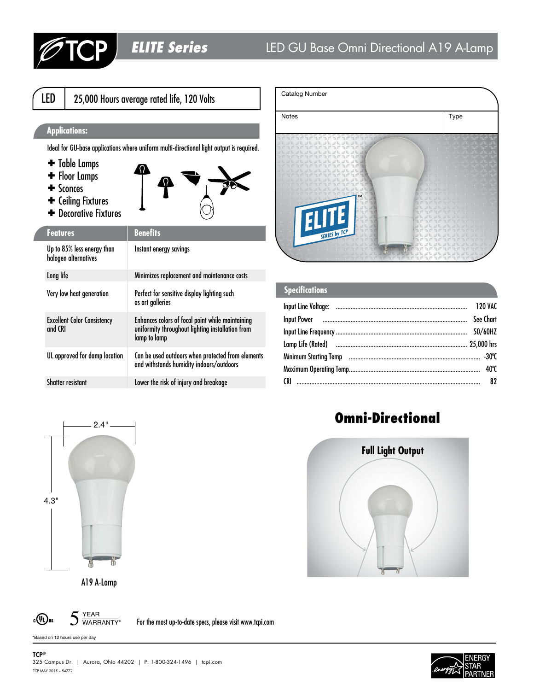```
LED | 25,000 Hours average rated life, 120 Volts
```
#### **Applications:**

Ideal for GU-base applications where uniform multi-directional light output is required.

- ✚ Table Lamps
- ✚ Floor Lamps
- ✚ Sconces
- ✚ Ceiling Fixtures
- ✚ Decorative Fixtures



| <b>Features</b>                                    | <b>Benefits</b>                                                                                                      |
|----------------------------------------------------|----------------------------------------------------------------------------------------------------------------------|
| Up to 85% less energy than<br>halogen alternatives | Instant energy savings                                                                                               |
| Long life                                          | Minimizes replacement and maintenance costs                                                                          |
| Very low heat generation                           | Perfect for sensitive display lighting such<br>as art galleries                                                      |
| <b>Excellent Color Consistency</b><br>and CRI      | Enhances colors of focal point while maintaining<br>uniformity throughout lighting installation from<br>lamp to lamp |
| UL approved for damp location                      | Can be used outdoors when protected from elements<br>and withstands humidity indoors/outdoors                        |
| <b>Shatter resistant</b>                           | Lower the risk of injury and breakage                                                                                |



| <b>Specifications</b> |           |
|-----------------------|-----------|
|                       |           |
|                       | See Chart |
|                       |           |
|                       |           |
|                       |           |
|                       |           |
|                       |           |



A19 A-Lamp



For the most up-to-date specs, please visit www.tcpi.com

\*Based on 12 hours use per day

TCP<sup>®</sup>

## Omni-Directional



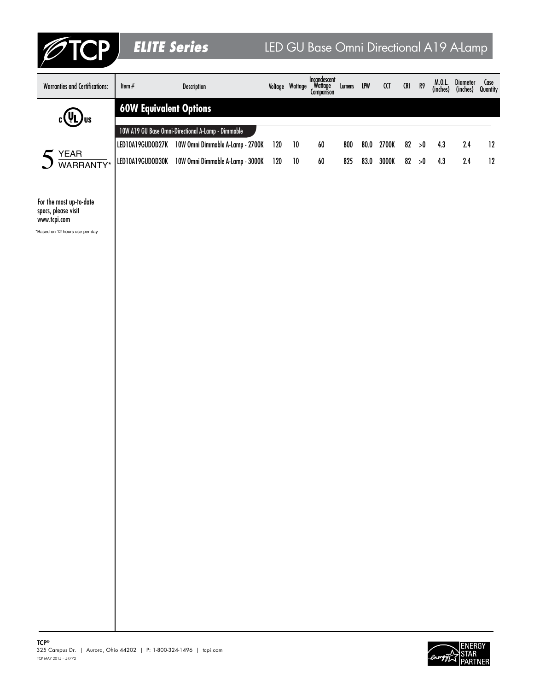| <b>?TCP</b>                                                                                      | <b>ELITE Series</b>           |                                                                                                        |            |                 | LED GU Base Omni Directional A19 A-Lamp |            |              |                    |             |              |                   |                               |          |
|--------------------------------------------------------------------------------------------------|-------------------------------|--------------------------------------------------------------------------------------------------------|------------|-----------------|-----------------------------------------|------------|--------------|--------------------|-------------|--------------|-------------------|-------------------------------|----------|
| <b>Warranties and Certifications:</b>                                                            | Item $\#$                     | Description                                                                                            |            | Voltage Wattage | Incandescent<br>Wattage<br>Comparison   | Lumens LPW |              | $\mathop{\rm (CI}$ | ${\sf CRI}$ | R9           | M.0.L<br>(inches) | Diameter<br>(inches) Quantity | Case     |
| , Jus<br>c ( el                                                                                  | <b>60W Equivalent Options</b> |                                                                                                        |            |                 |                                         |            |              |                    |             |              |                   |                               |          |
|                                                                                                  |                               | 10W A19 GU Base Omni-Directional A-Lamp - Dimmable                                                     |            |                 |                                         |            |              |                    |             |              |                   |                               |          |
| $5 \frac{YEAR}{WARRANTY*}$                                                                       |                               | LED10A19GUDOD27K 10W Omni Dimmable A-Lamp - 2700K<br>LED10A19GUDOD30K 10W Omni Dimmable A-Lamp - 3000K | 120<br>120 | 10<br>10        | 60<br>60                                | 800<br>825 | 80.0<br>83.0 | 2700K<br>3000K     | 82          | >0<br>82 > 0 | 4.3<br>4.3        | 2.4<br>2.4                    | 12<br>12 |
|                                                                                                  |                               |                                                                                                        |            |                 |                                         |            |              |                    |             |              |                   |                               |          |
| For the most up-to-date<br>specs, please visit<br>www.tcpi.com<br>*Based on 12 hours use per day |                               |                                                                                                        |            |                 |                                         |            |              |                    |             |              |                   |                               |          |
|                                                                                                  |                               |                                                                                                        |            |                 |                                         |            |              |                    |             |              |                   |                               |          |
|                                                                                                  |                               |                                                                                                        |            |                 |                                         |            |              |                    |             |              |                   |                               |          |
|                                                                                                  |                               |                                                                                                        |            |                 |                                         |            |              |                    |             |              |                   |                               |          |
|                                                                                                  |                               |                                                                                                        |            |                 |                                         |            |              |                    |             |              |                   |                               |          |
|                                                                                                  |                               |                                                                                                        |            |                 |                                         |            |              |                    |             |              |                   |                               |          |
|                                                                                                  |                               |                                                                                                        |            |                 |                                         |            |              |                    |             |              |                   |                               |          |
|                                                                                                  |                               |                                                                                                        |            |                 |                                         |            |              |                    |             |              |                   |                               |          |
|                                                                                                  |                               |                                                                                                        |            |                 |                                         |            |              |                    |             |              |                   |                               |          |
|                                                                                                  |                               |                                                                                                        |            |                 |                                         |            |              |                    |             |              |                   |                               |          |
|                                                                                                  |                               |                                                                                                        |            |                 |                                         |            |              |                    |             |              |                   |                               |          |
|                                                                                                  |                               |                                                                                                        |            |                 |                                         |            |              |                    |             |              |                   |                               |          |
|                                                                                                  |                               |                                                                                                        |            |                 |                                         |            |              |                    |             |              |                   |                               |          |
|                                                                                                  |                               |                                                                                                        |            |                 |                                         |            |              |                    |             |              |                   |                               |          |
|                                                                                                  |                               |                                                                                                        |            |                 |                                         |            |              |                    |             |              |                   |                               |          |
|                                                                                                  |                               |                                                                                                        |            |                 |                                         |            |              |                    |             |              |                   |                               |          |
|                                                                                                  |                               |                                                                                                        |            |                 |                                         |            |              |                    |             |              |                   |                               |          |
|                                                                                                  |                               |                                                                                                        |            |                 |                                         |            |              |                    |             |              |                   |                               |          |